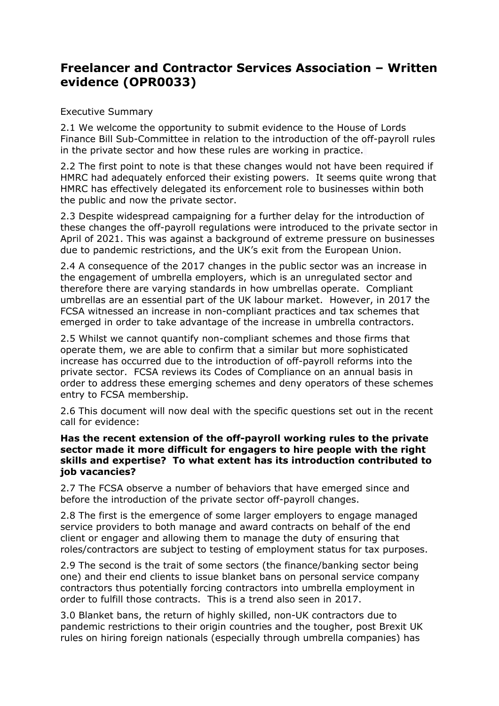# **Freelancer and Contractor Services Association – Written evidence (OPR0033)**

# Executive Summary

2.1 We welcome the opportunity to submit evidence to the House of Lords Finance Bill Sub-Committee in relation to the introduction of the off-payroll rules in the private sector and how these rules are working in practice.

2.2 The first point to note is that these changes would not have been required if HMRC had adequately enforced their existing powers. It seems quite wrong that HMRC has effectively delegated its enforcement role to businesses within both the public and now the private sector.

2.3 Despite widespread campaigning for a further delay for the introduction of these changes the off-payroll regulations were introduced to the private sector in April of 2021. This was against a background of extreme pressure on businesses due to pandemic restrictions, and the UK's exit from the European Union.

2.4 A consequence of the 2017 changes in the public sector was an increase in the engagement of umbrella employers, which is an unregulated sector and therefore there are varying standards in how umbrellas operate. Compliant umbrellas are an essential part of the UK labour market. However, in 2017 the FCSA witnessed an increase in non-compliant practices and tax schemes that emerged in order to take advantage of the increase in umbrella contractors.

2.5 Whilst we cannot quantify non-compliant schemes and those firms that operate them, we are able to confirm that a similar but more sophisticated increase has occurred due to the introduction of off-payroll reforms into the private sector. FCSA reviews its Codes of Compliance on an annual basis in order to address these emerging schemes and deny operators of these schemes entry to FCSA membership.

2.6 This document will now deal with the specific questions set out in the recent call for evidence:

#### **Has the recent extension of the off-payroll working rules to the private sector made it more difficult for engagers to hire people with the right skills and expertise? To what extent has its introduction contributed to job vacancies?**

2.7 The FCSA observe a number of behaviors that have emerged since and before the introduction of the private sector off-payroll changes.

2.8 The first is the emergence of some larger employers to engage managed service providers to both manage and award contracts on behalf of the end client or engager and allowing them to manage the duty of ensuring that roles/contractors are subject to testing of employment status for tax purposes.

2.9 The second is the trait of some sectors (the finance/banking sector being one) and their end clients to issue blanket bans on personal service company contractors thus potentially forcing contractors into umbrella employment in order to fulfill those contracts. This is a trend also seen in 2017.

3.0 Blanket bans, the return of highly skilled, non-UK contractors due to pandemic restrictions to their origin countries and the tougher, post Brexit UK rules on hiring foreign nationals (especially through umbrella companies) has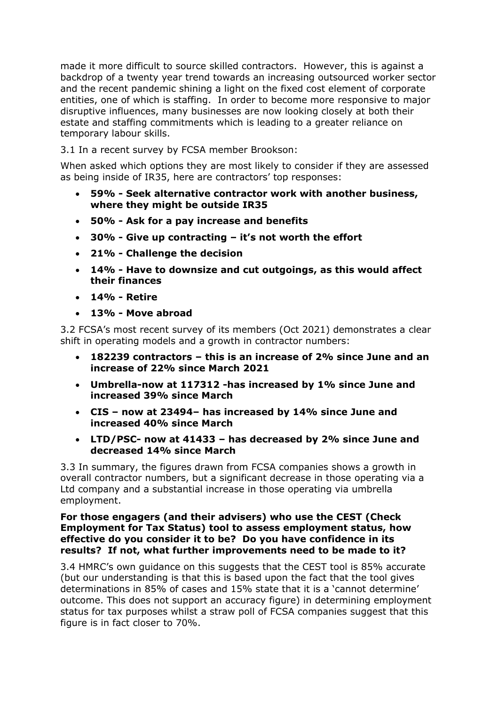made it more difficult to source skilled contractors. However, this is against a backdrop of a twenty year trend towards an increasing outsourced worker sector and the recent pandemic shining a light on the fixed cost element of corporate entities, one of which is staffing. In order to become more responsive to major disruptive influences, many businesses are now looking closely at both their estate and staffing commitments which is leading to a greater reliance on temporary labour skills.

3.1 In a recent survey by FCSA member Brookson:

When asked which options they are most likely to consider if they are assessed as being inside of IR35, here are contractors' top responses:

- **59% - Seek alternative contractor work with another business, where they might be outside IR35**
- **50% - Ask for a pay increase and benefits**
- **30% - Give up contracting – it's not worth the effort**
- **21% - Challenge the decision**
- **14% - Have to downsize and cut outgoings, as this would affect their finances**
- **14% - Retire**
- **13% - Move abroad**

3.2 FCSA's most recent survey of its members (Oct 2021) demonstrates a clear shift in operating models and a growth in contractor numbers:

- **182239 contractors – this is an increase of 2% since June and an increase of 22% since March 2021**
- **Umbrella-now at 117312 -has increased by 1% since June and increased 39% since March**
- **CIS – now at 23494– has increased by 14% since June and increased 40% since March**
- **LTD/PSC- now at 41433 – has decreased by 2% since June and decreased 14% since March**

3.3 In summary, the figures drawn from FCSA companies shows a growth in overall contractor numbers, but a significant decrease in those operating via a Ltd company and a substantial increase in those operating via umbrella employment.

# **For those engagers (and their advisers) who use the CEST (Check Employment for Tax Status) tool to assess employment status, how effective do you consider it to be? Do you have confidence in its results? If not, what further improvements need to be made to it?**

3.4 HMRC's own guidance on this suggests that the CEST tool is 85% accurate (but our understanding is that this is based upon the fact that the tool gives determinations in 85% of cases and 15% state that it is a 'cannot determine' outcome. This does not support an accuracy figure) in determining employment status for tax purposes whilst a straw poll of FCSA companies suggest that this figure is in fact closer to 70%.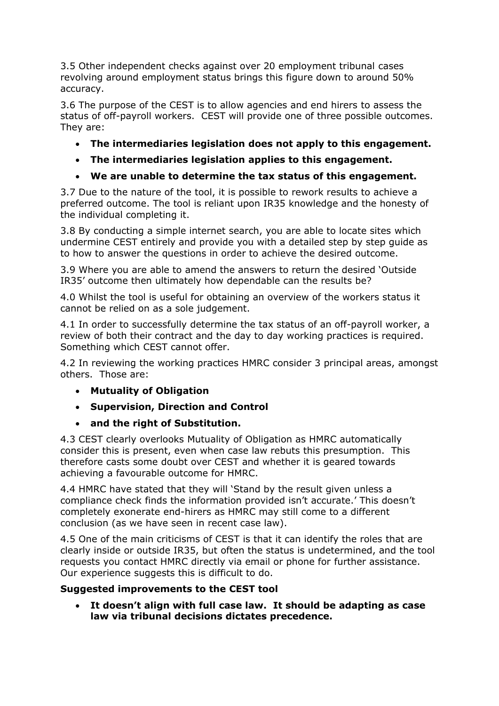3.5 Other independent checks against over 20 employment tribunal cases revolving around employment status brings this figure down to around 50% accuracy.

3.6 The purpose of the CEST is to allow agencies and end hirers to assess the status of off-payroll workers. CEST will provide one of three possible outcomes. They are:

- **The intermediaries legislation does not apply to this engagement.**
- **The intermediaries legislation applies to this engagement.**

# **We are unable to determine the tax status of this engagement.**

3.7 Due to the nature of the tool, it is possible to rework results to achieve a preferred outcome. The tool is reliant upon IR35 knowledge and the honesty of the individual completing it.

3.8 By conducting a simple internet search, you are able to locate sites which undermine CEST entirely and provide you with a detailed step by step guide as to how to answer the questions in order to achieve the desired outcome.

3.9 Where you are able to amend the answers to return the desired 'Outside IR35' outcome then ultimately how dependable can the results be?

4.0 Whilst the tool is useful for obtaining an overview of the workers status it cannot be relied on as a sole judgement.

4.1 In order to successfully determine the tax status of an off-payroll worker, a review of both their contract and the day to day working practices is required. Something which CEST cannot offer.

4.2 In reviewing the working practices HMRC consider 3 principal areas, amongst others. Those are:

- **Mutuality of Obligation**
- **Supervision, Direction and Control**
- **and the right of Substitution.**

4.3 CEST clearly overlooks Mutuality of Obligation as HMRC automatically consider this is present, even when case law rebuts this presumption. This therefore casts some doubt over CEST and whether it is geared towards achieving a favourable outcome for HMRC.

4.4 HMRC have stated that they will 'Stand by the result given unless a compliance check finds the information provided isn't accurate.' This doesn't completely exonerate end-hirers as HMRC may still come to a different conclusion (as we have seen in recent case law).

4.5 One of the main criticisms of CEST is that it can identify the roles that are clearly inside or outside IR35, but often the status is undetermined, and the tool requests you contact HMRC directly via email or phone for further assistance. Our experience suggests this is difficult to do.

# **Suggested improvements to the CEST tool**

 **It doesn't align with full case law. It should be adapting as case law via tribunal decisions dictates precedence.**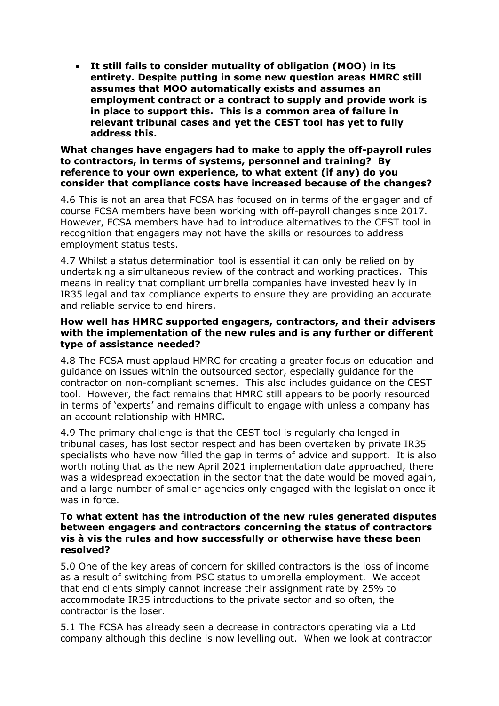**It still fails to consider mutuality of obligation (MOO) in its entirety. Despite putting in some new question areas HMRC still assumes that MOO automatically exists and assumes an employment contract or a contract to supply and provide work is in place to support this. This is a common area of failure in relevant tribunal cases and yet the CEST tool has yet to fully address this.**

#### **What changes have engagers had to make to apply the off-payroll rules to contractors, in terms of systems, personnel and training? By reference to your own experience, to what extent (if any) do you consider that compliance costs have increased because of the changes?**

4.6 This is not an area that FCSA has focused on in terms of the engager and of course FCSA members have been working with off-payroll changes since 2017. However, FCSA members have had to introduce alternatives to the CEST tool in recognition that engagers may not have the skills or resources to address employment status tests.

4.7 Whilst a status determination tool is essential it can only be relied on by undertaking a simultaneous review of the contract and working practices. This means in reality that compliant umbrella companies have invested heavily in IR35 legal and tax compliance experts to ensure they are providing an accurate and reliable service to end hirers.

# **How well has HMRC supported engagers, contractors, and their advisers with the implementation of the new rules and is any further or different type of assistance needed?**

4.8 The FCSA must applaud HMRC for creating a greater focus on education and guidance on issues within the outsourced sector, especially guidance for the contractor on non-compliant schemes. This also includes guidance on the CEST tool. However, the fact remains that HMRC still appears to be poorly resourced in terms of 'experts' and remains difficult to engage with unless a company has an account relationship with HMRC.

4.9 The primary challenge is that the CEST tool is regularly challenged in tribunal cases, has lost sector respect and has been overtaken by private IR35 specialists who have now filled the gap in terms of advice and support. It is also worth noting that as the new April 2021 implementation date approached, there was a widespread expectation in the sector that the date would be moved again, and a large number of smaller agencies only engaged with the legislation once it was in force.

#### **To what extent has the introduction of the new rules generated disputes between engagers and contractors concerning the status of contractors vis à vis the rules and how successfully or otherwise have these been resolved?**

5.0 One of the key areas of concern for skilled contractors is the loss of income as a result of switching from PSC status to umbrella employment. We accept that end clients simply cannot increase their assignment rate by 25% to accommodate IR35 introductions to the private sector and so often, the contractor is the loser.

5.1 The FCSA has already seen a decrease in contractors operating via a Ltd company although this decline is now levelling out. When we look at contractor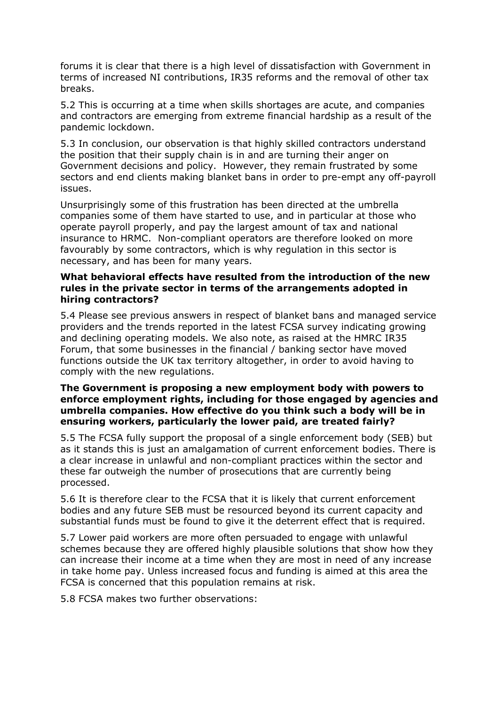forums it is clear that there is a high level of dissatisfaction with Government in terms of increased NI contributions, IR35 reforms and the removal of other tax breaks.

5.2 This is occurring at a time when skills shortages are acute, and companies and contractors are emerging from extreme financial hardship as a result of the pandemic lockdown.

5.3 In conclusion, our observation is that highly skilled contractors understand the position that their supply chain is in and are turning their anger on Government decisions and policy. However, they remain frustrated by some sectors and end clients making blanket bans in order to pre-empt any off-payroll issues.

Unsurprisingly some of this frustration has been directed at the umbrella companies some of them have started to use, and in particular at those who operate payroll properly, and pay the largest amount of tax and national insurance to HRMC. Non-compliant operators are therefore looked on more favourably by some contractors, which is why regulation in this sector is necessary, and has been for many years.

# **What behavioral effects have resulted from the introduction of the new rules in the private sector in terms of the arrangements adopted in hiring contractors?**

5.4 Please see previous answers in respect of blanket bans and managed service providers and the trends reported in the latest FCSA survey indicating growing and declining operating models. We also note, as raised at the HMRC IR35 Forum, that some businesses in the financial / banking sector have moved functions outside the UK tax territory altogether, in order to avoid having to comply with the new regulations.

# **The Government is proposing a new employment body with powers to enforce employment rights, including for those engaged by agencies and umbrella companies. How effective do you think such a body will be in ensuring workers, particularly the lower paid, are treated fairly?**

5.5 The FCSA fully support the proposal of a single enforcement body (SEB) but as it stands this is just an amalgamation of current enforcement bodies. There is a clear increase in unlawful and non-compliant practices within the sector and these far outweigh the number of prosecutions that are currently being processed.

5.6 It is therefore clear to the FCSA that it is likely that current enforcement bodies and any future SEB must be resourced beyond its current capacity and substantial funds must be found to give it the deterrent effect that is required.

5.7 Lower paid workers are more often persuaded to engage with unlawful schemes because they are offered highly plausible solutions that show how they can increase their income at a time when they are most in need of any increase in take home pay. Unless increased focus and funding is aimed at this area the FCSA is concerned that this population remains at risk.

5.8 FCSA makes two further observations: